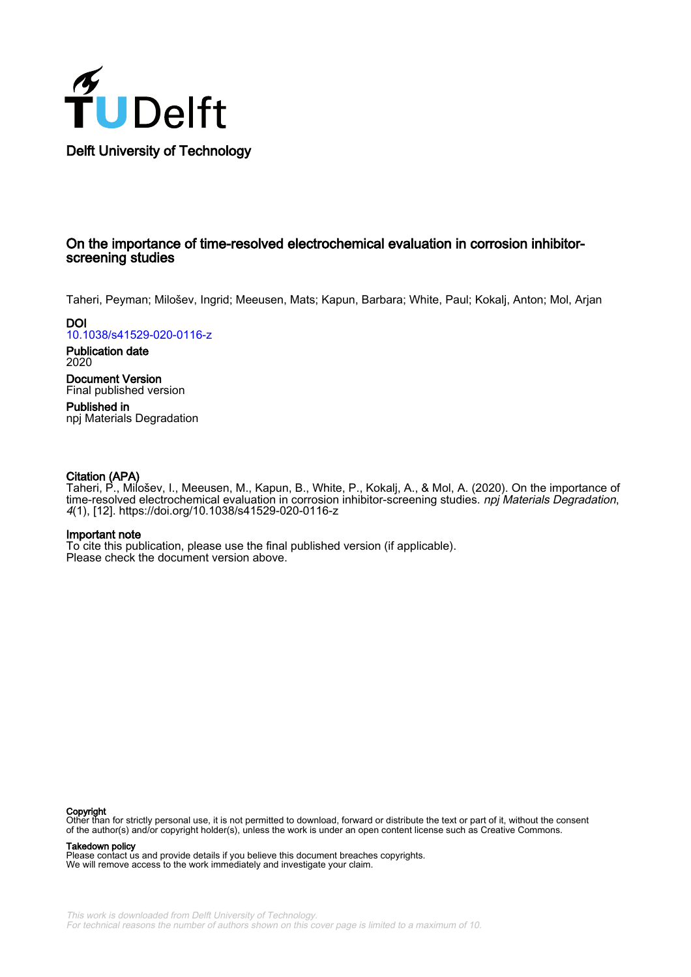

### On the importance of time-resolved electrochemical evaluation in corrosion inhibitorscreening studies

Taheri, Peyman; Milošev, Ingrid; Meeusen, Mats; Kapun, Barbara; White, Paul; Kokalj, Anton; Mol, Arjan

**DOI** [10.1038/s41529-020-0116-z](https://doi.org/10.1038/s41529-020-0116-z)

Publication date 2020

Document Version Final published version

Published in npj Materials Degradation

#### Citation (APA)

Taheri, P., Milošev, I., Meeusen, M., Kapun, B., White, P., Kokalj, A., & Mol, A. (2020). On the importance of time-resolved electrochemical evaluation in corrosion inhibitor-screening studies. *npj Materials Degradation*, 4(1), [12]. <https://doi.org/10.1038/s41529-020-0116-z>

#### Important note

To cite this publication, please use the final published version (if applicable). Please check the document version above.

#### Copyright

Other than for strictly personal use, it is not permitted to download, forward or distribute the text or part of it, without the consent of the author(s) and/or copyright holder(s), unless the work is under an open content license such as Creative Commons.

#### Takedown policy

Please contact us and provide details if you believe this document breaches copyrights. We will remove access to the work immediately and investigate your claim.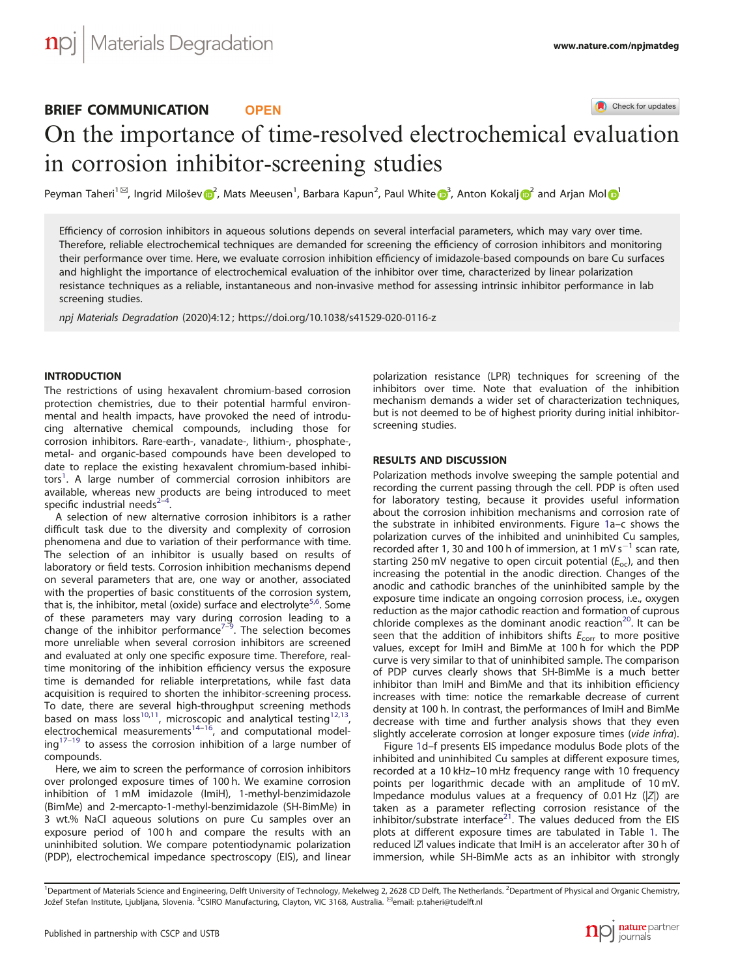## BRIEF COMMUNICATION **OPEN**

Check for updates

# On the importance of time-resolved electrochemical e[v](http://crossmark.crossref.org/dialog/?doi=10.1038/s41529-020-0116-z&domain=pdf)aluation in corrosion inhibitor-screening studies

Peyman Taheri<sup>1⊠</sup>, Ingrid Milošev <mark>o?</mark>, Mats Meeusen<sup>1</sup>, Barbara Kapun<sup>[2](http://orcid.org/0000-0001-7237-0041)</sup>, Paul White o[3](http://orcid.org/0000-0001-7208-2031), Anton Kokal[j](http://orcid.org/0000-0001-7237-0041) o2 and Arjan Mo[l](http://orcid.org/0000-0003-1810-5145) o[1](http://orcid.org/0000-0003-1810-5145)

Efficiency of corrosion inhibitors in aqueous solutions depends on several interfacial parameters, which may vary over time. Therefore, reliable electrochemical techniques are demanded for screening the efficiency of corrosion inhibitors and monitoring their performance over time. Here, we evaluate corrosion inhibition efficiency of imidazole-based compounds on bare Cu surfaces and highlight the importance of electrochemical evaluation of the inhibitor over time, characterized by linear polarization resistance techniques as a reliable, instantaneous and non-invasive method for assessing intrinsic inhibitor performance in lab screening studies.

npj Materials Degradation (2020) 4:12 ; https://doi.org/1[0.1038/s41529-020-0116-z](https://doi.org/10.1038/s41529-020-0116-z)

#### **INTRODUCTION**

The restrictions of using hexavalent chromium-based corrosion protection chemistries, due to their potential harmful environmental and health impacts, have provoked the need of introducing alternative chemical compounds, including those for corrosion inhibitors. Rare-earth-, vanadate-, lithium-, phosphate-, metal- and organic-based compounds have been developed to date to replace the existing hexavalent chromium-based inhibi-tors<sup>[1](#page-4-0)</sup>. A large number of commercial corrosion inhibitors are available, whereas new products are being introduced to meet specific industrial needs $2-4$  $2-4$  $2-4$ . .

A selection of new alternative corrosion inhibitors is a rather difficult task due to the diversity and complexity of corrosion phenomena and due to variation of their performance with time. The selection of an inhibitor is usually based on results of laboratory or field tests. Corrosion inhibition mechanisms depend on several parameters that are, one way or another, associated with the properties of basic constituents of the corrosion system, that is, the inhibitor, metal (oxide) surface and electrolyte<sup>[5,6](#page-4-0)</sup>. Some of these parameters may vary during corrosion leading to a<br>change of the inhibitor performance<sup>[7](#page-4-0)–[9](#page-4-0)</sup>. The selection becomes more unreliable when several corrosion inhibitors are screened and evaluated at only one specific exposure time. Therefore, realtime monitoring of the inhibition efficiency versus the exposure time is demanded for reliable interpretations, while fast data acquisition is required to shorten the inhibitor-screening process. To date, there are several high-throughput screening methods based on mass loss<sup>[10](#page-4-0),11</sup>, microscopic and analytical testing<sup>12,13</sup>, electrochemical measurements<sup>[14](#page-4-0)–[16](#page-4-0)</sup>, and computational model- $ing<sup>17-19</sup>$  $ing<sup>17-19</sup>$  $ing<sup>17-19</sup>$  $ing<sup>17-19</sup>$  $ing<sup>17-19</sup>$  to assess the corrosion inhibition of a large number of compounds.

Here, we aim to screen the performance of corrosion inhibitors over prolonged exposure times of 100 h. We examine corrosion inhibition of 1 mM imidazole (ImiH), 1-methyl-benzimidazole (BimMe) and 2-mercapto-1-methyl-benzimidazole (SH-BimMe) in 3 wt.% NaCl aqueous solutions on pure Cu samples over an exposure period of 100 h and compare the results with an uninhibited solution. We compare potentiodynamic polarization (PDP), electrochemical impedance spectroscopy (EIS), and linear polarization resistance (LPR) techniques for screening of the inhibitors over time. Note that evaluation of the inhibition mechanism demands a wider set of characterization techniques, but is not deemed to be of highest priority during initial inhibitorscreening studies.

#### RESULTS AND DISCUSSION

Polarization methods involve sweeping the sample potential and recording the current passing through the cell. PDP is often used for laboratory testing, because it provides useful information about the corrosion inhibition mechanisms and corrosion rate of the substrate in inhibited environments. Figure [1a](#page-2-0)–c shows the polarization curves of the inhibited and uninhibited Cu samples, recorded after 1, 30 and 100 h of immersion, at 1 mV s<sup>-1</sup> scan rate, starting 250 mV negative to open circuit potential  $(E_{\text{oc}})$ , and then increasing the potential in the anodic direction. Changes of the anodic and cathodic branches of the uninhibited sample by the exposure time indicate an ongoing corrosion process, i.e., oxygen reduction as the major cathodic reaction and formation of cuprous chloride complexes as the dominant anodic reaction<sup>20</sup>. It can be seen that the addition of inhibitors shifts  $E_{corr}$  to more positive values, except for ImiH and BimMe at 100 h for which the PDP curve is very similar to that of uninhibited sample. The comparison of PDP curves clearly shows that SH-BimMe is a much better inhibitor than ImiH and BimMe and that its inhibition efficiency increases with time: notice the remarkable decrease of current density at 100 h. In contrast, the performances of ImiH and BimMe decrease with time and further analysis shows that they even slightly accelerate corrosion at longer exposure times (vide infra).

Figure [1d](#page-2-0)–f presents EIS impedance modulus Bode plots of the inhibited and uninhibited Cu samples at different exposure times, recorded at a 10 kHz–10 mHz frequency range with 10 frequency points per logarithmic decade with an amplitude of 10 mV. Impedance modulus values at a frequency of 0.01 Hz  $(|Z|)$  are taken as a parameter reflecting corrosion resistance of the inhibitor/substrate interface $^{21}$  $^{21}$  $^{21}$ . The values deduced from the EIS plots at different exposure times are tabulated in Table [1](#page-2-0). The reduced ǀZǀ values indicate that ImiH is an accelerator after 30 h of immersion, while SH-BimMe acts as an inhibitor with strongly

<sup>&</sup>lt;sup>1</sup>Department of Materials Science and Engineering, Delft University of Technology, Mekelweg 2, 2628 CD Delft, The Netherlands. <sup>2</sup>Department of Physical and Organic Chemistry, Jožef Stefan Institute, Ljubljana, Slovenia. <sup>3</sup>CSIRO Manufacturing, Clayton, VIC 3168, Australia. <sup>⊠</sup>email: [p.taheri@tudelft.nl](mailto:p.taheri@tudelft.nl)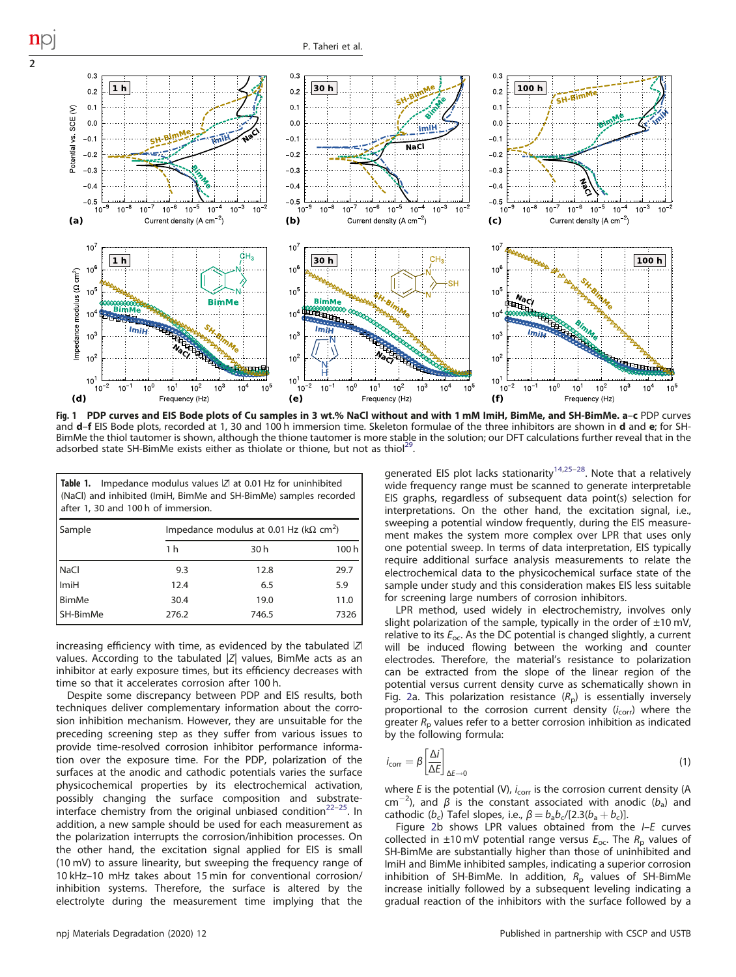

Fig. 1 PDP curves and EIS Bode plots of Cu samples in 3 wt.% NaCl without and with 1 mM ImiH, BimMe, and SH-BimMe. a–<sup>c</sup> PDP curves and d–f EIS Bode plots, recorded at 1, 30 and 100 h immersion time. Skeleton formulae of the three inhibitors are shown in d and e; for SH-BimMe the thiol tautomer is shown, although the thione tautomer is more stable in the solution; our DFT calculations further reveal that in the adsorbed state SH-BimMe exists either as thiolate or thione, but not as thiol<sup>[29](#page-4-0)</sup>

|                                                                  |                                     | Table 1. Impedance modulus values  Z  at 0.01 Hz for uninhibited |  |  |
|------------------------------------------------------------------|-------------------------------------|------------------------------------------------------------------|--|--|
| (NaCl) and inhibited (ImiH, BimMe and SH-BimMe) samples recorded |                                     |                                                                  |  |  |
|                                                                  | after 1, 30 and 100 h of immersion. |                                                                  |  |  |
|                                                                  |                                     |                                                                  |  |  |

<span id="page-2-0"></span>2

| Sample             | Impedance modulus at 0.01 Hz ( $k\Omega$ cm <sup>2</sup> ) |       |      |  |
|--------------------|------------------------------------------------------------|-------|------|--|
|                    | 1 <sub>h</sub>                                             | 30h   | 100h |  |
| NaCl               | 9.3                                                        | 12.8  | 29.7 |  |
| I <sub>lmi</sub> H | 12.4                                                       | 6.5   | 5.9  |  |
| BimMe              | 30.4                                                       | 19.0  | 11.0 |  |
| SH-BimMe           | 276.2                                                      | 746.5 | 7326 |  |

increasing efficiency with time, as evidenced by the tabulated ǀZǀ values. According to the tabulated  $|Z|$  values, BimMe acts as an inhibitor at early exposure times, but its efficiency decreases with time so that it accelerates corrosion after 100 h.

Despite some discrepancy between PDP and EIS results, both techniques deliver complementary information about the corrosion inhibition mechanism. However, they are unsuitable for the preceding screening step as they suffer from various issues to provide time-resolved corrosion inhibitor performance information over the exposure time. For the PDP, polarization of the surfaces at the anodic and cathodic potentials varies the surface physicochemical properties by its electrochemical activation, possibly changing the surface composition and substrate-interface chemistry from the original unbiased condition<sup>[22](#page-4-0)–[25](#page-4-0)</sup>. In addition, a new sample should be used for each measurement as the polarization interrupts the corrosion/inhibition processes. On the other hand, the excitation signal applied for EIS is small (10 mV) to assure linearity, but sweeping the frequency range of 10 kHz–10 mHz takes about 15 min for conventional corrosion/ inhibition systems. Therefore, the surface is altered by the electrolyte during the measurement time implying that the generated EIS plot lacks stationarity<sup>[14,25](#page-4-0)-28</sup>. Note that a relatively wide frequency range must be scanned to generate interpretable EIS graphs, regardless of subsequent data point(s) selection for interpretations. On the other hand, the excitation signal, i.e., sweeping a potential window frequently, during the EIS measurement makes the system more complex over LPR that uses only one potential sweep. In terms of data interpretation, EIS typically require additional surface analysis measurements to relate the electrochemical data to the physicochemical surface state of the sample under study and this consideration makes EIS less suitable for screening large numbers of corrosion inhibitors.

LPR method, used widely in electrochemistry, involves only slight polarization of the sample, typically in the order of  $\pm 10$  mV, relative to its  $E_{\text{oc}}$ . As the DC potential is changed slightly, a current will be induced flowing between the working and counter electrodes. Therefore, the material's resistance to polarization can be extracted from the slope of the linear region of the potential versus current density curve as schematically shown in Fig. [2a](#page-3-0). This polarization resistance  $(R_p)$  is essentially inversely proportional to the corrosion current density  $(i_{\text{corr}})$  where the greater  $R<sub>p</sub>$  values refer to a better corrosion inhibition as indicated by the following formula:

$$
i_{\text{corr}} = \beta \left[ \frac{\Delta i}{\Delta E} \right]_{\Delta E \to 0} \tag{1}
$$

where E is the potential (V),  $i_{corr}$  is the corrosion current density (A  $cm^{-2}$ ), and β is the constant associated with anodic ( $b_a$ ) and cathodic ( $b_c$ ) Tafel slopes, i.e.,  $\beta = b_a b_c/[2.3(b_a + b_c)]$ .

Figure [2b](#page-3-0) shows LPR values obtained from the  $I-E$  curves collected in  $\pm 10$  mV potential range versus  $E_{\rm oc}$ . The  $R_{\rm p}$  values of SH-BimMe are substantially higher than those of uninhibited and ImiH and BimMe inhibited samples, indicating a superior corrosion inhibition of SH-BimMe. In addition,  $R<sub>p</sub>$  values of SH-BimMe increase initially followed by a subsequent leveling indicating a gradual reaction of the inhibitors with the surface followed by a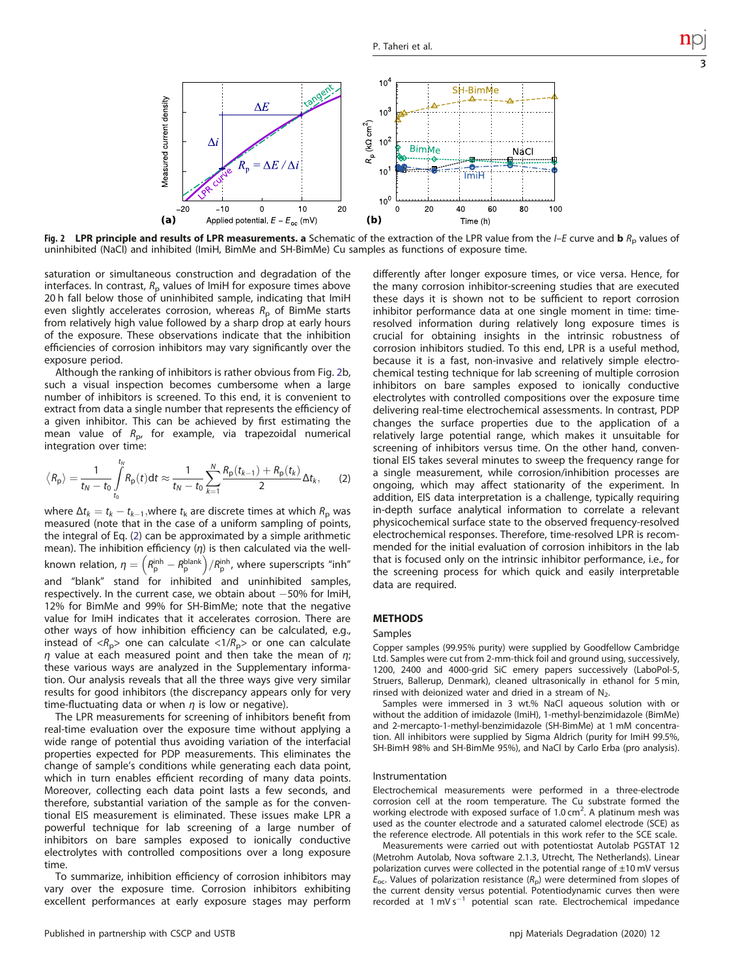<span id="page-3-0"></span>

Fig. 2 LPR principle and results of LPR measurements. a Schematic of the extraction of the LPR value from the  $I-F$  curve and b  $R<sub>p</sub>$  values of uninhibited (NaCl) and inhibited (ImiH, BimMe and SH-BimMe) Cu samples as functions of exposure time.

saturation or simultaneous construction and degradation of the interfaces. In contrast,  $R<sub>p</sub>$  values of ImiH for exposure times above 20 h fall below those of uninhibited sample, indicating that ImiH even slightly accelerates corrosion, whereas  $R<sub>p</sub>$  of BimMe starts from relatively high value followed by a sharp drop at early hours of the exposure. These observations indicate that the inhibition efficiencies of corrosion inhibitors may vary significantly over the exposure period.

Although the ranking of inhibitors is rather obvious from Fig. 2b, such a visual inspection becomes cumbersome when a large number of inhibitors is screened. To this end, it is convenient to extract from data a single number that represents the efficiency of a given inhibitor. This can be achieved by first estimating the mean value of  $R_{\rm p}$ , for example, via trapezoidal numerical integration over time:

$$
\langle R_{\rm p} \rangle = \frac{1}{t_N - t_0} \int\limits_{t_0}^{t_N} R_{\rm p}(t) dt \approx \frac{1}{t_N - t_0} \sum\limits_{k=1}^N \frac{R_{\rm p}(t_{k-1}) + R_{\rm p}(t_k)}{2} \Delta t_k, \qquad (2)
$$

where  $\Delta t_k = t_k - t_{k-1}$ , where  $t_k$  are discrete times at which  $R_p$  was measured (note that in the case of a uniform sampling of points, the integral of Eq. (2) can be approximated by a simple arithmetic mean). The inhibition efficiency  $(\eta)$  is then calculated via the wellknown relation,  $\eta=\left(R_{\rm p}^{\rm inh}-R_{\rm p}^{\rm blank}\right)/R_{\rm p}^{\rm inh}$ , where superscripts "inh" and "blank" stand for inhibited and uninhibited samples, respectively. In the current case, we obtain about -50% for lmiH, 12% for BimMe and 99% for SH-BimMe; note that the negative value for ImiH indicates that it accelerates corrosion. There are other ways of how inhibition efficiency can be calculated, e.g., instead of  $\langle R_p \rangle$  one can calculate  $\langle 1/R_p \rangle$  or one can calculate  $\eta$  value at each measured point and then take the mean of  $\eta$ ; these various ways are analyzed in the Supplementary information. Our analysis reveals that all the three ways give very similar results for good inhibitors (the discrepancy appears only for very time-fluctuating data or when  $\eta$  is low or negative).

The LPR measurements for screening of inhibitors benefit from real-time evaluation over the exposure time without applying a wide range of potential thus avoiding variation of the interfacial properties expected for PDP measurements. This eliminates the change of sample's conditions while generating each data point, which in turn enables efficient recording of many data points. Moreover, collecting each data point lasts a few seconds, and therefore, substantial variation of the sample as for the conventional EIS measurement is eliminated. These issues make LPR a powerful technique for lab screening of a large number of inhibitors on bare samples exposed to ionically conductive electrolytes with controlled compositions over a long exposure time.

To summarize, inhibition efficiency of corrosion inhibitors may vary over the exposure time. Corrosion inhibitors exhibiting excellent performances at early exposure stages may perform differently after longer exposure times, or vice versa. Hence, for the many corrosion inhibitor-screening studies that are executed these days it is shown not to be sufficient to report corrosion inhibitor performance data at one single moment in time: timeresolved information during relatively long exposure times is crucial for obtaining insights in the intrinsic robustness of corrosion inhibitors studied. To this end, LPR is a useful method, because it is a fast, non-invasive and relatively simple electrochemical testing technique for lab screening of multiple corrosion inhibitors on bare samples exposed to ionically conductive electrolytes with controlled compositions over the exposure time delivering real-time electrochemical assessments. In contrast, PDP changes the surface properties due to the application of a relatively large potential range, which makes it unsuitable for screening of inhibitors versus time. On the other hand, conventional EIS takes several minutes to sweep the frequency range for a single measurement, while corrosion/inhibition processes are ongoing, which may affect stationarity of the experiment. In addition, EIS data interpretation is a challenge, typically requiring in-depth surface analytical information to correlate a relevant physicochemical surface state to the observed frequency-resolved electrochemical responses. Therefore, time-resolved LPR is recommended for the initial evaluation of corrosion inhibitors in the lab that is focused only on the intrinsic inhibitor performance, i.e., for the screening process for which quick and easily interpretable data are required.

#### **METHODS**

#### Samples

Copper samples (99.95% purity) were supplied by Goodfellow Cambridge Ltd. Samples were cut from 2-mm-thick foil and ground using, successively, 1200, 2400 and 4000-grid SiC emery papers successively (LaboPol-5, Struers, Ballerup, Denmark), cleaned ultrasonically in ethanol for 5 min, rinsed with deionized water and dried in a stream of  $N_2$ .

Samples were immersed in 3 wt.% NaCl aqueous solution with or without the addition of imidazole (ImiH), 1-methyl-benzimidazole (BimMe) and 2-mercapto-1-methyl-benzimidazole (SH-BimMe) at 1 mM concentration. All inhibitors were supplied by Sigma Aldrich (purity for ImiH 99.5%, SH-BimH 98% and SH-BimMe 95%), and NaCl by Carlo Erba (pro analysis).

#### Instrumentation

Electrochemical measurements were performed in a three-electrode corrosion cell at the room temperature. The Cu substrate formed the working electrode with exposed surface of  $1.0 \text{ cm}^2$ . A platinum mesh was used as the counter electrode and a saturated calomel electrode (SCE) as the reference electrode. All potentials in this work refer to the SCE scale.

Measurements were carried out with potentiostat Autolab PGSTAT 12 (Metrohm Autolab, Nova software 2.1.3, Utrecht, The Netherlands). Linear polarization curves were collected in the potential range of  $\pm 10$  mV versus  $E_{\text{oc}}$ . Values of polarization resistance  $(R_{\text{D}})$  were determined from slopes of the current density versus potential. Potentiodynamic curves then were recorded at 1 mV s−<sup>1</sup> potential scan rate. Electrochemical impedance